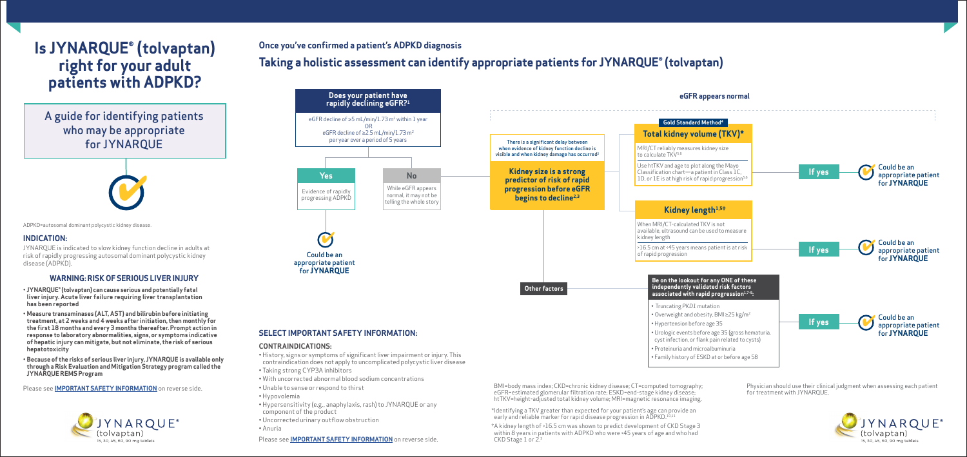BMI=body mass index; CKD=chronic kidney disease; CT=computed tomography; eGFR=estimated glomerular filtration rate; ESKD=end-stage kidney disease; htTKV=height-adjusted total kidney volume; MRI=magnetic resonance imaging.



\*Identifying a TKV greater than expected for your patient's age can provide an early and reliable marker for rapid disease progression in ADPKD.<sup>10,1</sup>

• Unable to sense or respond to thirst

• Hypovolemia

• Hypersensitivity (e.g., anaphylaxis, rash) to JYNARQUE or any

component of the product

• Uncorrected urinary outflow obstruction

• Anuria

Please see **[IMPORTANT SAFETY INFORMATION](#page-1-0)** on reverse side.

## **Once you've confirmed a patient's ADPKD diagnosis**

# **Taking a holistic assessment can identify appropriate patients for JYNARQUE® (tolvaptan)**

†A kidney length of >16.5 cm was shown to predict development of CKD Stage 3 within 8 years in patients with ADPKD who were <45 years of age and who had CKD Stage 1 or 2.3

Physician should use their clinical judgment when assessing each patient for treatment with JYNARQUE.



#### **INDICATION:**

JYNARQUE is indicated to slow kidney function decline in adults at risk of rapidly progressing autosomal dominant polycystic kidney disease (ADPKD).

#### **WARNING: RISK OF SERIOUS LIVER INJURY**

- **JYNARQUE® (tolvaptan) can cause serious and potentially fatal liver injury. Acute liver failure requiring liver transplantation has been reported**
- **Measure transaminases (ALT, AST) and bilirubin before initiating treatment, at 2 weeks and 4 weeks after initiation, then monthly for the first 18 months and every 3 months thereafter. Prompt action in response to laboratory abnormalities, signs, or symptoms indicative of hepatic injury can mitigate, but not eliminate, the risk of serious hepatotoxicity**
- **Because of the risks of serious liver injury, JYNARQUE is available only through a Risk Evaluation and Mitigation Strategy program called the JYNARQUE REMS Program**

Please see **[IMPORTANT SAFETY INFORMATION](#page-1-0)** on reverse side.





A guide for identifying patients who may be appropriate for JYNARQUE

# **Is JYNARQUE® (tolvaptan) right for your adult patients with ADPKD?**

ADPKD=autosomal dominant polycystic kidney disease.